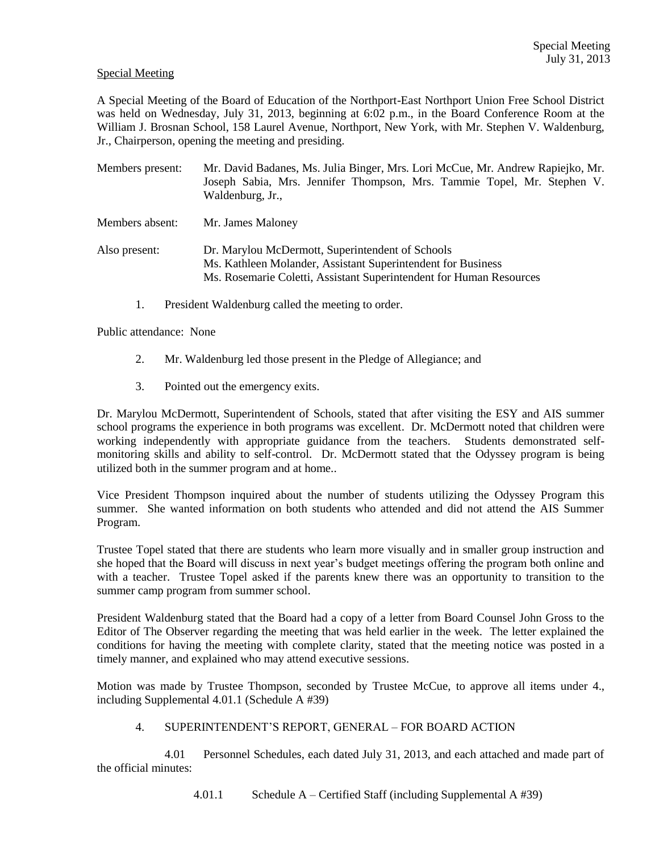## Special Meeting

A Special Meeting of the Board of Education of the Northport-East Northport Union Free School District was held on Wednesday, July 31, 2013, beginning at 6:02 p.m., in the Board Conference Room at the William J. Brosnan School, 158 Laurel Avenue, Northport, New York, with Mr. Stephen V. Waldenburg, Jr., Chairperson, opening the meeting and presiding.

| Members present: | Mr. David Badanes, Ms. Julia Binger, Mrs. Lori McCue, Mr. Andrew Rapiejko, Mr.<br>Joseph Sabia, Mrs. Jennifer Thompson, Mrs. Tammie Topel, Mr. Stephen V.<br>Waldenburg, Jr.,           |
|------------------|-----------------------------------------------------------------------------------------------------------------------------------------------------------------------------------------|
| Members absent:  | Mr. James Maloney                                                                                                                                                                       |
| Also present:    | Dr. Marylou McDermott, Superintendent of Schools<br>Ms. Kathleen Molander, Assistant Superintendent for Business<br>Ms. Rosemarie Coletti, Assistant Superintendent for Human Resources |

1. President Waldenburg called the meeting to order.

Public attendance: None

- 2. Mr. Waldenburg led those present in the Pledge of Allegiance; and
- 3. Pointed out the emergency exits.

Dr. Marylou McDermott, Superintendent of Schools, stated that after visiting the ESY and AIS summer school programs the experience in both programs was excellent. Dr. McDermott noted that children were working independently with appropriate guidance from the teachers. Students demonstrated selfmonitoring skills and ability to self-control. Dr. McDermott stated that the Odyssey program is being utilized both in the summer program and at home..

Vice President Thompson inquired about the number of students utilizing the Odyssey Program this summer. She wanted information on both students who attended and did not attend the AIS Summer Program.

Trustee Topel stated that there are students who learn more visually and in smaller group instruction and she hoped that the Board will discuss in next year's budget meetings offering the program both online and with a teacher. Trustee Topel asked if the parents knew there was an opportunity to transition to the summer camp program from summer school.

President Waldenburg stated that the Board had a copy of a letter from Board Counsel John Gross to the Editor of The Observer regarding the meeting that was held earlier in the week. The letter explained the conditions for having the meeting with complete clarity, stated that the meeting notice was posted in a timely manner, and explained who may attend executive sessions.

Motion was made by Trustee Thompson, seconded by Trustee McCue, to approve all items under 4., including Supplemental 4.01.1 (Schedule A #39)

## 4. SUPERINTENDENT'S REPORT, GENERAL – FOR BOARD ACTION

4.01 Personnel Schedules, each dated July 31, 2013, and each attached and made part of the official minutes:

4.01.1 Schedule A – Certified Staff (including Supplemental A #39)